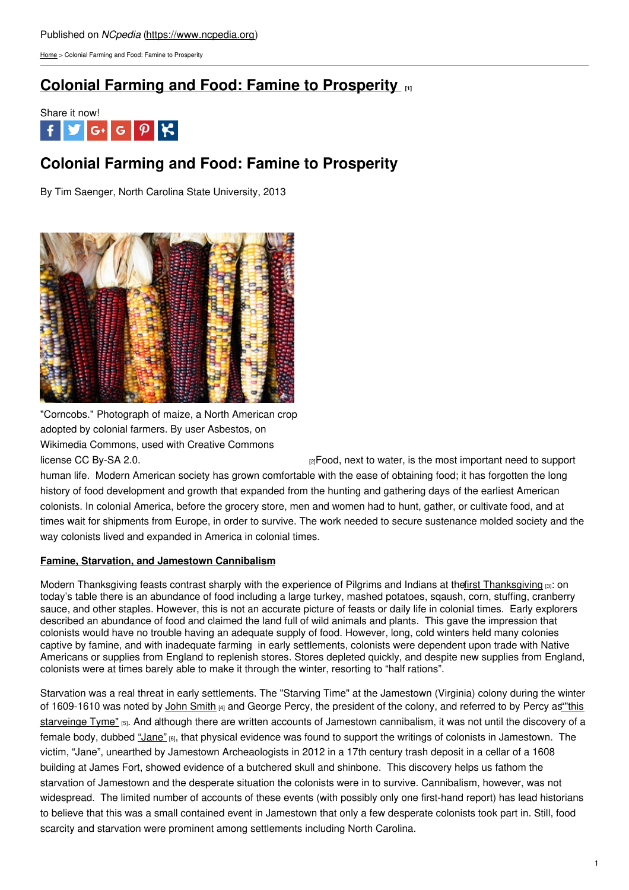[Home](https://www.ncpedia.org/) > Colonial Farming and Food: Famine to Prosperity

# **Colonial Farming and Food: Famine to [Prosperity](https://www.ncpedia.org/colonial-farming-and-food-famine) [1]**



# **Colonial Farming and Food: Famine to Prosperity**

By Tim Saenger, North Carolina State University, 2013



"Corncobs." Photograph of maize, a North American crop adopted by colonial farmers. By user Asbestos, on Wikimedia Commons, used with Creative Commons

[license](https://en.wikipedia.org/wiki/Maize) CC By-SA 2.0. **Example 2.0.** [2] Food, next to water, is the most important need to support

human life. Modern American society has grown comfortable with the ease of obtaining food; it has forgotten the long history of food development and growth that expanded from the hunting and gathering days of the earliest American colonists. In colonial America, before the grocery store, men and women had to hunt, gather, or cultivate food, and at times wait for shipments from Europe, in order to survive. The work needed to secure sustenance molded society and the way colonists lived and expanded in America in colonial times.

## **Famine, Starvation, and Jamestown Cannibalism**

Modern [Thanksgiving](https://plimoth.org/for-students/homework-help) feasts contrast sharply with the experience of Pilgrims and Indians at the first Thanksgiving  $\mathfrak{so}$ : on today's table there is an abundance of food including a large turkey, mashed potatoes, sqaush, corn, stuffing, cranberry sauce, and other staples. However, this is not an accurate picture of feasts or daily life in colonial times. Early explorers described an abundance of food and claimed the land full of wild animals and plants. This gave the impression that colonists would have no trouble having an adequate supply of food. However, long, cold winters held many colonies captive by famine, and with inadequate farming in early settlements, colonists were dependent upon trade with Native Americans or supplies from England to replenish stores. Stores depleted quickly, and despite new supplies from England, colonists were at times barely able to make it through the winter, resorting to "half rations".

Starvation was a real threat in early settlements. The "Starving Time" at the Jamestown (Virginia) colony during the winter of 1609-1610 was noted by John [Smith](https://www.nps.gov/jame/learn/historyculture/life-of-john-smith.htm) [4] and George Percy, the president of the colony, and referred to by Percy as "this starveinge Tyme" [5]. And although there are written accounts of Jamestown [cannibalism,](http://nationalhumanitiescenter.org/pds/amerbegin/settlement/text2/JamestownPercyRelation.pdf) it was not until the discovery of a female body, dubbed ["Jane"](https://historicjamestowne.org/archaeology/jane/) [6], that physical evidence was found to support the writings of colonists in Jamestown. The victim, "Jane", unearthed by Jamestown Archeaologists in 2012 in a 17th century trash deposit in a cellar of a 1608 building at James Fort, showed evidence of a butchered skull and shinbone. This discovery helps us fathom the starvation of Jamestown and the desperate situation the colonists were in to survive. Cannibalism, however, was not widespread. The limited number of accounts of these events (with possibly only one first-hand report) has lead historians to believe that this was a small contained event in Jamestown that only a few desperate colonists took part in. Still, food scarcity and starvation were prominent among settlements including North Carolina.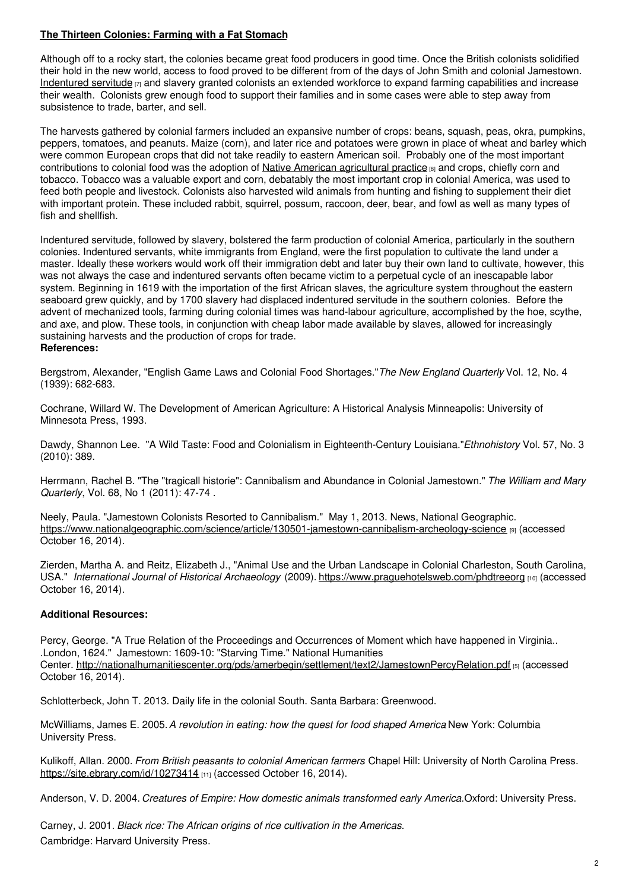# **The Thirteen Colonies: Farming with a Fat Stomach**

Although off to a rocky start, the colonies became great food producers in good time. Once the British colonists solidified their hold in the new world, access to food proved to be different from of the days of John Smith and colonial Jamestown. [Indentured](http://www.pbs.org/opb/historydetectives/feature/indentured-servants-in-the-us/) servitude  $_{[7]}$  and slavery granted colonists an extended workforce to expand farming capabilities and increase their wealth. Colonists grew enough food to support their families and in some cases were able to step away from subsistence to trade, barter, and sell.

The harvests gathered by colonial farmers included an expansive number of crops: beans, squash, peas, okra, pumpkins, peppers, tomatoes, and peanuts. Maize (corn), and later rice and potatoes were grown in place of wheat and barley which were common European crops that did not take readily to eastern American soil. Probably one of the most important contributions to colonial food was the adoption of Native American [agricultural](http://www.virginiaplaces.org/agriculture/natagri.html) practice [8] and crops, chiefly corn and tobacco. Tobacco was a valuable export and corn, debatably the most important crop in colonial America, was used to feed both people and livestock. Colonists also harvested wild animals from hunting and fishing to supplement their diet with important protein. These included rabbit, squirrel, possum, raccoon, deer, bear, and fowl as well as many types of fish and shellfish.

Indentured servitude, followed by slavery, bolstered the farm production of colonial America, particularly in the southern colonies. Indentured servants, white immigrants from England, were the first population to cultivate the land under a master. Ideally these workers would work off their immigration debt and later buy their own land to cultivate, however, this was not always the case and indentured servants often became victim to a perpetual cycle of an inescapable labor system. Beginning in 1619 with the importation of the first African slaves, the agriculture system throughout the eastern seaboard grew quickly, and by 1700 slavery had displaced indentured servitude in the southern colonies. Before the advent of mechanized tools, farming during colonial times was hand-labour agriculture, accomplished by the hoe, scythe, and axe, and plow. These tools, in conjunction with cheap labor made available by slaves, allowed for increasingly sustaining harvests and the production of crops for trade. **References:**

Bergstrom, Alexander, "English Game Laws and Colonial Food Shortages."*The New England Quarterly* Vol. 12, No. 4 (1939): 682-683.

Cochrane, Willard W. The Development of American Agriculture: A Historical Analysis Minneapolis: University of Minnesota Press, 1993.

Dawdy, Shannon Lee. "A Wild Taste: Food and Colonialism in Eighteenth-Century Louisiana."*Ethnohistory* Vol. 57, No. 3 (2010): 389.

Herrmann, Rachel B. "The "tragicall historie": Cannibalism and Abundance in Colonial Jamestown." *The William and Mary Quarterly*, Vol. 68, No 1 (2011): 47-74 .

Neely, Paula. "Jamestown Colonists Resorted to Cannibalism." May 1, 2013. News, National Geographic. <https://www.nationalgeographic.com/science/article/130501-jamestown-cannibalism-archeology-science> [9] (accessed October 16, 2014).

Zierden, Martha A. and Reitz, Elizabeth J., "Animal Use and the Urban Landscape in Colonial Charleston, South Carolina, USA." *International Journal of Historical Archaeology* (2009). <https://www.praguehotelsweb.com/phdtreeorg> [10] (accessed October 16, 2014).

## **Additional Resources:**

Percy, George. "A True Relation of the Proceedings and Occurrences of Moment which have happened in Virginia.. .London, 1624." Jamestown: 1609-10: "Starving Time." National Humanities Center. <http://nationalhumanitiescenter.org/pds/amerbegin/settlement/text2/JamestownPercyRelation.pdf> [5] (accessed October 16, 2014).

Schlotterbeck, John T. 2013. Daily life in the colonial South. Santa Barbara: Greenwood.

McWilliams, James E. 2005.*A revolution in eating: how the quest for food shaped America*. New York: Columbia University Press.

Kulikoff, Allan. 2000. *From British peasants to colonial American farmers*. Chapel Hill: University of North Carolina Press. <https://site.ebrary.com/id/10273414> [11] (accessed October 16, 2014).

Anderson, V. D. 2004. *Creatures of Empire: How domestic animals transformed early America.*Oxford: University Press.

Carney, J. 2001. *Black rice: The African origins of rice cultivation in the Americas.* Cambridge: Harvard University Press.